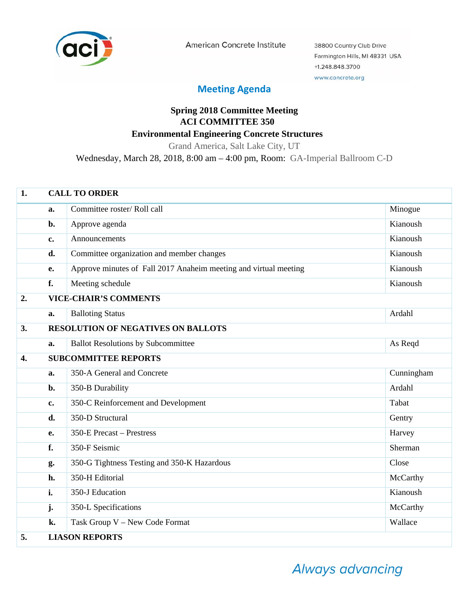

American Concrete Institute

38800 Country Club Drive Farmington Hills, MI 48331 USA +1.248.848.3700 www.concrete.org

## **Meeting Agenda**

## **Spring 2018 Committee Meeting ACI COMMITTEE 350 Environmental Engineering Concrete Structures**

Grand America, Salt Lake City, UT

Wednesday, March 28, 2018, 8:00 am – 4:00 pm, Room: GA-Imperial Ballroom C-D

| 1.               | <b>CALL TO ORDER</b> |                                                                  |            |  |
|------------------|----------------------|------------------------------------------------------------------|------------|--|
|                  | a.                   | Committee roster/Roll call                                       | Minogue    |  |
|                  | b.                   | Approve agenda                                                   | Kianoush   |  |
|                  | c.                   | Announcements                                                    | Kianoush   |  |
|                  | d.                   | Committee organization and member changes                        | Kianoush   |  |
|                  | e.                   | Approve minutes of Fall 2017 Anaheim meeting and virtual meeting | Kianoush   |  |
|                  | f.                   | Meeting schedule                                                 | Kianoush   |  |
| 2.               |                      | <b>VICE-CHAIR'S COMMENTS</b>                                     |            |  |
|                  | a.                   | <b>Balloting Status</b>                                          | Ardahl     |  |
| 3.               |                      | <b>RESOLUTION OF NEGATIVES ON BALLOTS</b>                        |            |  |
|                  | a.                   | <b>Ballot Resolutions by Subcommittee</b>                        | As Reqd    |  |
| $\overline{4}$ . |                      | <b>SUBCOMMITTEE REPORTS</b>                                      |            |  |
|                  | a.                   | 350-A General and Concrete                                       | Cunningham |  |
|                  | b.                   | 350-B Durability                                                 | Ardahl     |  |
|                  | c.                   | 350-C Reinforcement and Development                              | Tabat      |  |
|                  | d.                   | 350-D Structural                                                 | Gentry     |  |
|                  | e.                   | 350-E Precast – Prestress                                        | Harvey     |  |
|                  | f.                   | 350-F Seismic                                                    | Sherman    |  |
|                  | g.                   | 350-G Tightness Testing and 350-K Hazardous                      | Close      |  |
|                  | h.                   | 350-H Editorial                                                  | McCarthy   |  |
|                  | i.                   | 350-J Education                                                  | Kianoush   |  |
|                  | j.                   | 350-L Specifications                                             | McCarthy   |  |
|                  | k.                   | Task Group V - New Code Format                                   | Wallace    |  |
| 5.               |                      | <b>LIASON REPORTS</b>                                            |            |  |

Always advancing